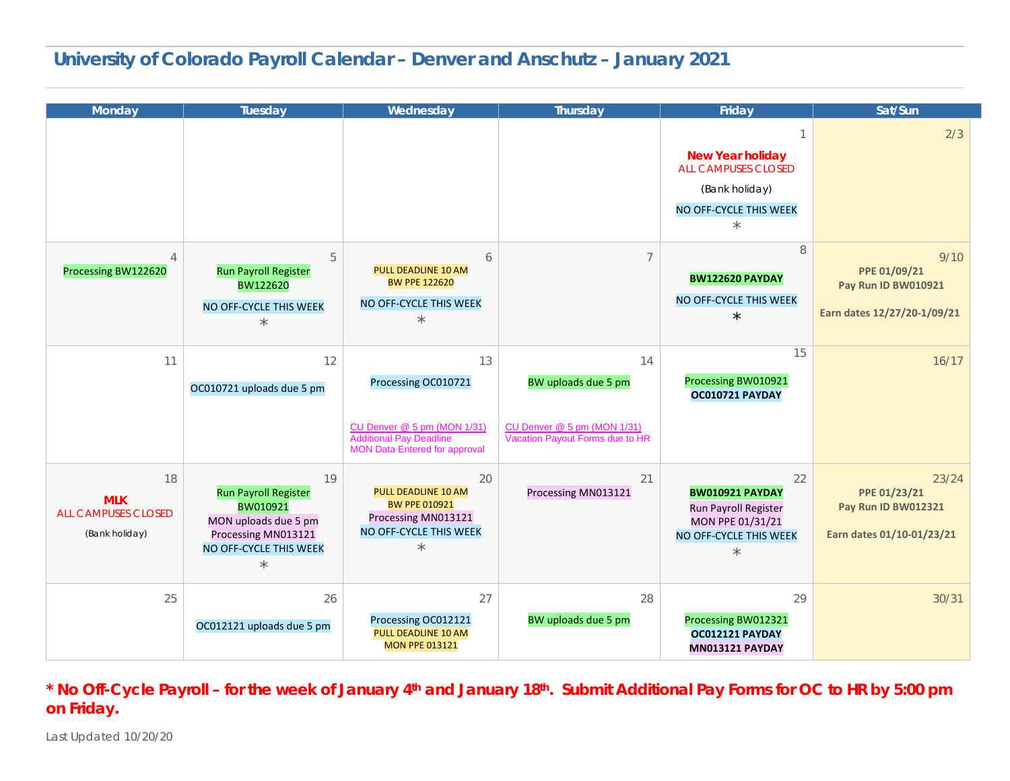#### **University of Colorado Payroll Calendar – Denver and Anschutz – January 2021**

| <b>Monday</b>                                                    | Tuesday                                                                                                                           | Wednesday                                                                                                                          | Thursday                                                                                    | Friday                                                                                                        | Sat/Sun                                                                           |
|------------------------------------------------------------------|-----------------------------------------------------------------------------------------------------------------------------------|------------------------------------------------------------------------------------------------------------------------------------|---------------------------------------------------------------------------------------------|---------------------------------------------------------------------------------------------------------------|-----------------------------------------------------------------------------------|
|                                                                  |                                                                                                                                   |                                                                                                                                    |                                                                                             | <b>New Year holiday</b><br><b>ALL CAMPUSES CLOSED</b><br>(Bank holiday)<br>NO OFF-CYCLE THIS WEEK<br>$\star$  | 2/3                                                                               |
| $\overline{4}$<br>Processing BW122620                            | 5<br><b>Run Payroll Register</b><br>BW122620<br>NO OFF-CYCLE THIS WEEK<br>$\star$                                                 | 6<br><b>PULL DEADLINE 10 AM</b><br><b>BW PPE 122620</b><br>NO OFF-CYCLE THIS WEEK<br>$\star$                                       | $\overline{7}$                                                                              | 8<br><b>BW122620 PAYDAY</b><br>NO OFF-CYCLE THIS WEEK<br>$\star$                                              | 9/10<br>PPE 01/09/21<br><b>Pay Run ID BW010921</b><br>Earn dates 12/27/20-1/09/21 |
| 11                                                               | 12<br>OC010721 uploads due 5 pm                                                                                                   | 13<br>Processing OC010721<br>CU Denver @ 5 pm (MON 1/31)<br><b>Additional Pay Deadline</b><br><b>MON Data Entered for approval</b> | 14<br>BW uploads due 5 pm<br>CU Denver @ 5 pm (MON 1/31)<br>Vacation Payout Forms due to HR | 15<br>Processing BW010921<br>OC010721 PAYDAY                                                                  | 16/17                                                                             |
| 18<br><b>MLK</b><br><b>ALL CAMPUSES CLOSED</b><br>(Bank holiday) | 19<br><b>Run Payroll Register</b><br>BW010921<br>MON uploads due 5 pm<br>Processing MN013121<br>NO OFF-CYCLE THIS WEEK<br>$\star$ | 20<br><b>PULL DEADLINE 10 AM</b><br><b>BW PPE 010921</b><br>Processing MN013121<br>NO OFF-CYCLE THIS WEEK<br>$\star$               | 21<br>Processing MN013121                                                                   | 22<br><b>BW010921 PAYDAY</b><br>Run Payroll Register<br>MON PPE 01/31/21<br>NO OFF-CYCLE THIS WEEK<br>$\star$ | 23/24<br>PPE 01/23/21<br>Pay Run ID BW012321<br>Earn dates 01/10-01/23/21         |
| 25                                                               | 26<br>OC012121 uploads due 5 pm                                                                                                   | 27<br>Processing OC012121<br>PULL DEADLINE 10 AM<br><b>MON PPE 013121</b>                                                          | 28<br>BW uploads due 5 pm                                                                   | 29<br>Processing BW012321<br>OC012121 PAYDAY<br><b>MN013121 PAYDAY</b>                                        | 30/31                                                                             |

**\* No Off-Cycle Payroll – for the week of January 4th and January 18th. Submit Additional Pay Forms for OC to HR by 5:00 pm on Friday.**

Last Updated 10/20/20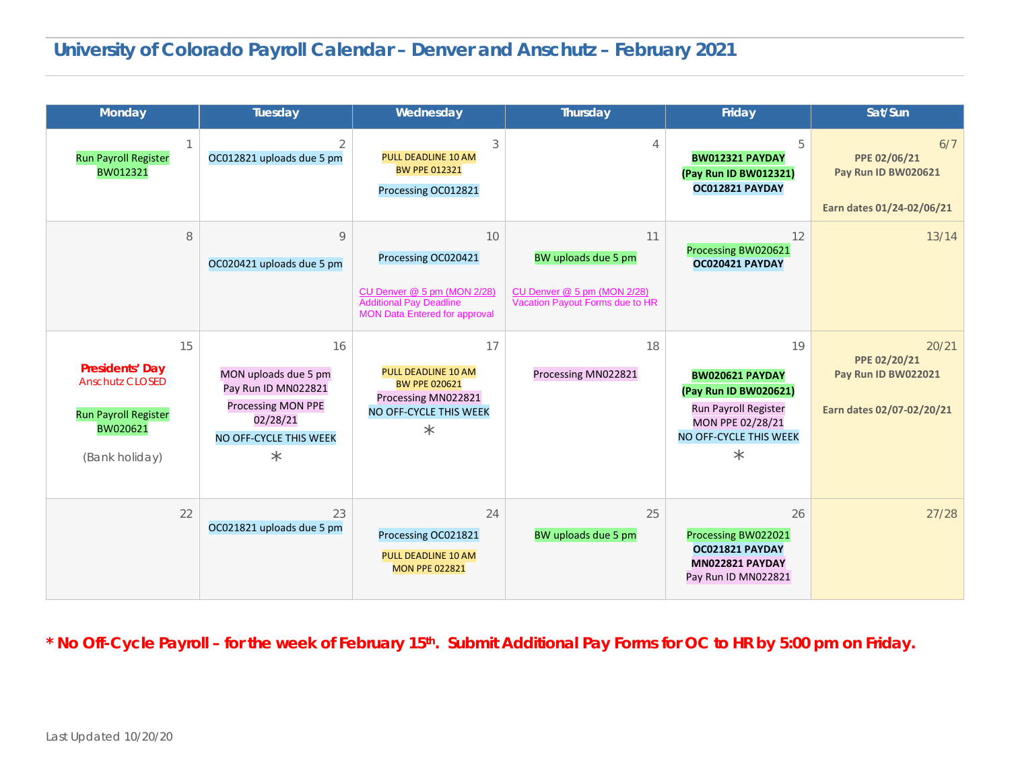# **University of Colorado Payroll Calendar – Denver and Anschutz – February 2021**

| <b>Monday</b>                                                                                                | Tuesday                                                                                                                         | Wednesday                                                                                                                          | <b>Thursday</b>                                                                             | Friday                                                                                                                                    | Sat/Sun                                                                   |
|--------------------------------------------------------------------------------------------------------------|---------------------------------------------------------------------------------------------------------------------------------|------------------------------------------------------------------------------------------------------------------------------------|---------------------------------------------------------------------------------------------|-------------------------------------------------------------------------------------------------------------------------------------------|---------------------------------------------------------------------------|
| <b>Run Payroll Register</b><br>BW012321                                                                      | OC012821 uploads due 5 pm                                                                                                       | 3<br><b>PULL DEADLINE 10 AM</b><br><b>BW PPE 012321</b><br>Processing OC012821                                                     |                                                                                             | 5<br>BW012321 PAYDAY<br>(Pay Run ID BW012321)<br>OC012821 PAYDAY                                                                          | 6/7<br>PPE 02/06/21<br>Pay Run ID BW020621<br>Earn dates 01/24-02/06/21   |
| 8                                                                                                            | 9<br>OC020421 uploads due 5 pm                                                                                                  | 10<br>Processing OC020421<br>CU Denver @ 5 pm (MON 2/28)<br><b>Additional Pay Deadline</b><br><b>MON Data Entered for approval</b> | 11<br>BW uploads due 5 pm<br>CU Denver @ 5 pm (MON 2/28)<br>Vacation Payout Forms due to HR | 12<br>Processing BW020621<br>OC020421 PAYDAY                                                                                              | 13/14                                                                     |
| 15<br>Presidents' Day<br><b>Anschutz CLOSED</b><br><b>Run Payroll Register</b><br>BW020621<br>(Bank holiday) | 16<br>MON uploads due 5 pm<br>Pay Run ID MN022821<br><b>Processing MON PPE</b><br>02/28/21<br>NO OFF-CYCLE THIS WEEK<br>$\star$ | 17<br><b>PULL DEADLINE 10 AM</b><br><b>BW PPE 020621</b><br>Processing MN022821<br>NO OFF-CYCLE THIS WEEK<br>$\star$               | 18<br>Processing MN022821                                                                   | 19<br><b>BW020621 PAYDAY</b><br>(Pay Run ID BW020621)<br>Run Payroll Register<br>MON PPE 02/28/21<br>NO OFF-CYCLE THIS WEEK<br>$^{\star}$ | 20/21<br>PPE 02/20/21<br>Pay Run ID BW022021<br>Earn dates 02/07-02/20/21 |
| 22                                                                                                           | 23<br>OC021821 uploads due 5 pm                                                                                                 | 24<br>Processing OC021821<br><b>PULL DEADLINE 10 AM</b><br><b>MON PPE 022821</b>                                                   | 25<br>BW uploads due 5 pm                                                                   | 26<br>Processing BW022021<br>OC021821 PAYDAY<br><b>MN022821 PAYDAY</b><br>Pay Run ID MN022821                                             | 27/28                                                                     |

**\* No Off-Cycle Payroll – for the week of February 15th. Submit Additional Pay Forms for OC to HR by 5:00 pm on Friday.**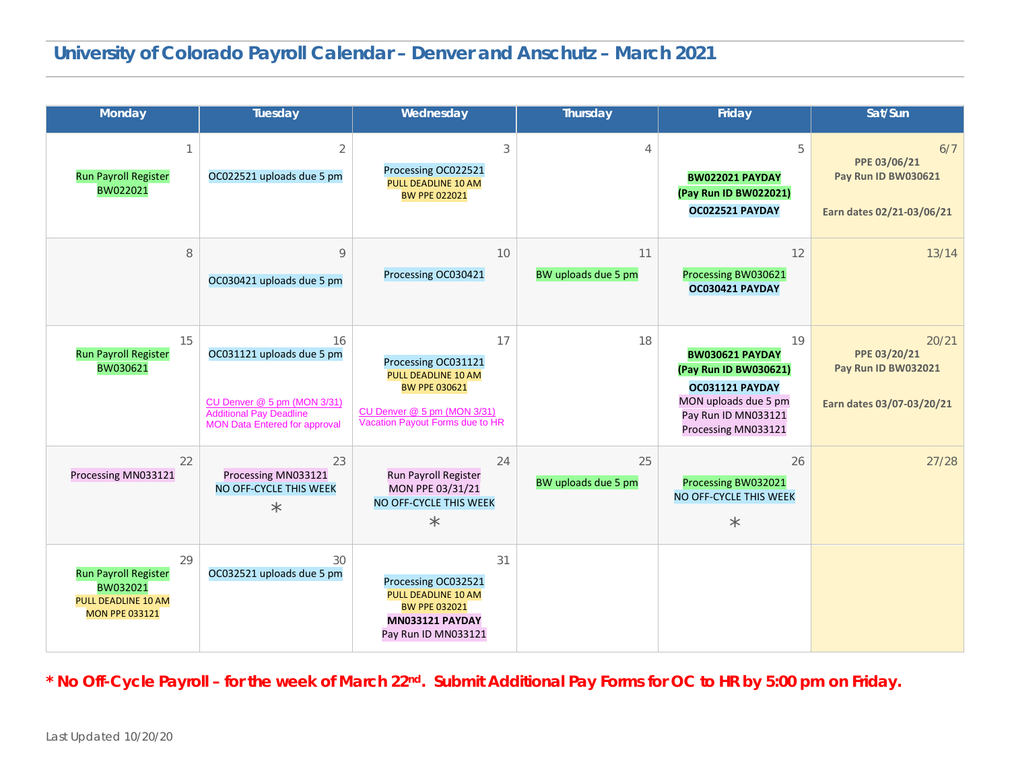| Monday                                                                                               | Tuesday                                                                                                                                  | Wednesday                                                                                                                                         | Thursday                  | Friday                                                                                                                                         | Sat/Sun                                                                          |
|------------------------------------------------------------------------------------------------------|------------------------------------------------------------------------------------------------------------------------------------------|---------------------------------------------------------------------------------------------------------------------------------------------------|---------------------------|------------------------------------------------------------------------------------------------------------------------------------------------|----------------------------------------------------------------------------------|
| <b>Run Payroll Register</b><br>BW022021                                                              | $\overline{2}$<br>OC022521 uploads due 5 pm                                                                                              | 3<br>Processing OC022521<br>PULL DEADLINE 10 AM<br><b>BW PPE 022021</b>                                                                           |                           | 5<br><b>BW022021 PAYDAY</b><br>(Pay Run ID BW022021)<br>OC022521 PAYDAY                                                                        | 6/7<br>PPE 03/06/21<br><b>Pay Run ID BW030621</b><br>Earn dates 02/21-03/06/21   |
| 8                                                                                                    | 9<br>OC030421 uploads due 5 pm                                                                                                           | 10<br>Processing OC030421                                                                                                                         | 11<br>BW uploads due 5 pm | 12<br>Processing BW030621<br>OC030421 PAYDAY                                                                                                   | 13/14                                                                            |
| 15<br><b>Run Payroll Register</b><br>BW030621                                                        | 16<br>OC031121 uploads due 5 pm<br>CU Denver @ 5 pm (MON 3/31)<br><b>Additional Pay Deadline</b><br><b>MON Data Entered for approval</b> | 17<br>Processing OC031121<br><b>PULL DEADLINE 10 AM</b><br><b>BW PPE 030621</b><br>CU Denver @ 5 pm (MON 3/31)<br>Vacation Payout Forms due to HR | 18                        | 19<br><b>BW030621 PAYDAY</b><br>(Pay Run ID BW030621)<br>OC031121 PAYDAY<br>MON uploads due 5 pm<br>Pay Run ID MN033121<br>Processing MN033121 | 20/21<br>PPE 03/20/21<br><b>Pay Run ID BW032021</b><br>Earn dates 03/07-03/20/21 |
| 22<br>Processing MN033121                                                                            | 23<br>Processing MN033121<br>NO OFF-CYCLE THIS WEEK<br>$\star$                                                                           | 24<br>Run Payroll Register<br>MON PPE 03/31/21<br>NO OFF-CYCLE THIS WEEK<br>$\star$                                                               | 25<br>BW uploads due 5 pm | 26<br>Processing BW032021<br>NO OFF-CYCLE THIS WEEK<br>$\star$                                                                                 | 27/28                                                                            |
| 29<br><b>Run Payroll Register</b><br>BW032021<br><b>PULL DEADLINE 10 AM</b><br><b>MON PPE 033121</b> | 30<br>OC032521 uploads due 5 pm                                                                                                          | 31<br>Processing OC032521<br><b>PULL DEADLINE 10 AM</b><br><b>BW PPE 032021</b><br><b>MN033121 PAYDAY</b><br>Pay Run ID MN033121                  |                           |                                                                                                                                                |                                                                                  |

**\* No Off-Cycle Payroll – for the week of March 22nd. Submit Additional Pay Forms for OC to HR by 5:00 pm on Friday.**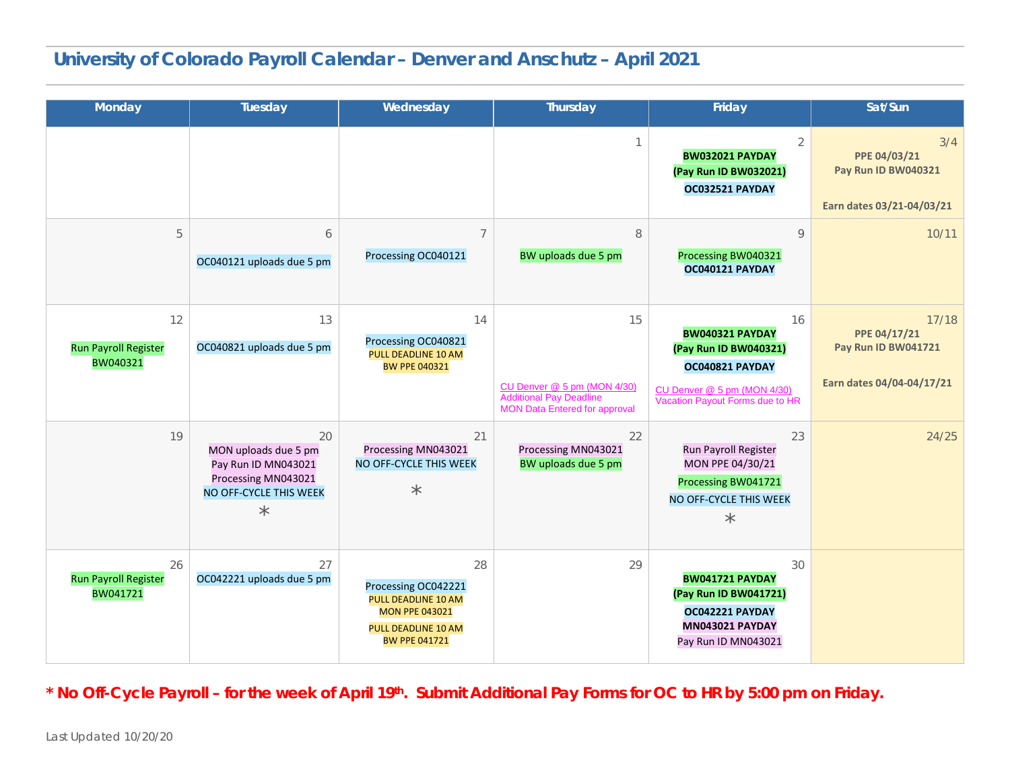## **University of Colorado Payroll Calendar – Denver and Anschutz – April 2021**

| Monday                                        | Tuesday                                                                                                       | Wednesday                                                                                                                              | <b>Thursday</b>                                                                                             | Friday                                                                                                                                     | Sat/Sun                                                                        |
|-----------------------------------------------|---------------------------------------------------------------------------------------------------------------|----------------------------------------------------------------------------------------------------------------------------------------|-------------------------------------------------------------------------------------------------------------|--------------------------------------------------------------------------------------------------------------------------------------------|--------------------------------------------------------------------------------|
|                                               |                                                                                                               |                                                                                                                                        |                                                                                                             | 2<br><b>BW032021 PAYDAY</b><br>(Pay Run ID BW032021)<br>OC032521 PAYDAY                                                                    | 3/4<br>PPE 04/03/21<br><b>Pay Run ID BW040321</b><br>Earn dates 03/21-04/03/21 |
| 5                                             | 6<br>OC040121 uploads due 5 pm                                                                                | $\overline{7}$<br>Processing OC040121                                                                                                  | 8<br>BW uploads due 5 pm                                                                                    | 9<br>Processing BW040321<br>OC040121 PAYDAY                                                                                                | 10/11                                                                          |
| 12<br><b>Run Payroll Register</b><br>BW040321 | 13<br>OC040821 uploads due 5 pm                                                                               | 14<br>Processing OC040821<br><b>PULL DEADLINE 10 AM</b><br><b>BW PPE 040321</b>                                                        | 15<br>CU Denver @ 5 pm (MON 4/30)<br><b>Additional Pay Deadline</b><br><b>MON Data Entered for approval</b> | 16<br><b>BW040321 PAYDAY</b><br>(Pay Run ID BW040321)<br>OC040821 PAYDAY<br>CU Denver @ 5 pm (MON 4/30)<br>Vacation Payout Forms due to HR | 17/18<br>PPE 04/17/21<br>Pay Run ID BW041721<br>Earn dates 04/04-04/17/21      |
| 19                                            | 20<br>MON uploads due 5 pm<br>Pay Run ID MN043021<br>Processing MN043021<br>NO OFF-CYCLE THIS WEEK<br>$\star$ | 21<br>Processing MN043021<br>NO OFF-CYCLE THIS WEEK<br>$\star$                                                                         | 22<br>Processing MN043021<br>BW uploads due 5 pm                                                            | 23<br>Run Payroll Register<br>MON PPE 04/30/21<br>Processing BW041721<br>NO OFF-CYCLE THIS WEEK<br>$\star$                                 | 24/25                                                                          |
| 26<br><b>Run Payroll Register</b><br>BW041721 | 27<br>OC042221 uploads due 5 pm                                                                               | 28<br>Processing OC042221<br><b>PULL DEADLINE 10 AM</b><br><b>MON PPE 043021</b><br><b>PULL DEADLINE 10 AM</b><br><b>BW PPE 041721</b> | 29                                                                                                          | 30<br><b>BW041721 PAYDAY</b><br>(Pay Run ID BW041721)<br>OC042221 PAYDAY<br><b>MN043021 PAYDAY</b><br>Pay Run ID MN043021                  |                                                                                |

**\* No Off-Cycle Payroll – for the week of April 19th. Submit Additional Pay Forms for OC to HR by 5:00 pm on Friday.**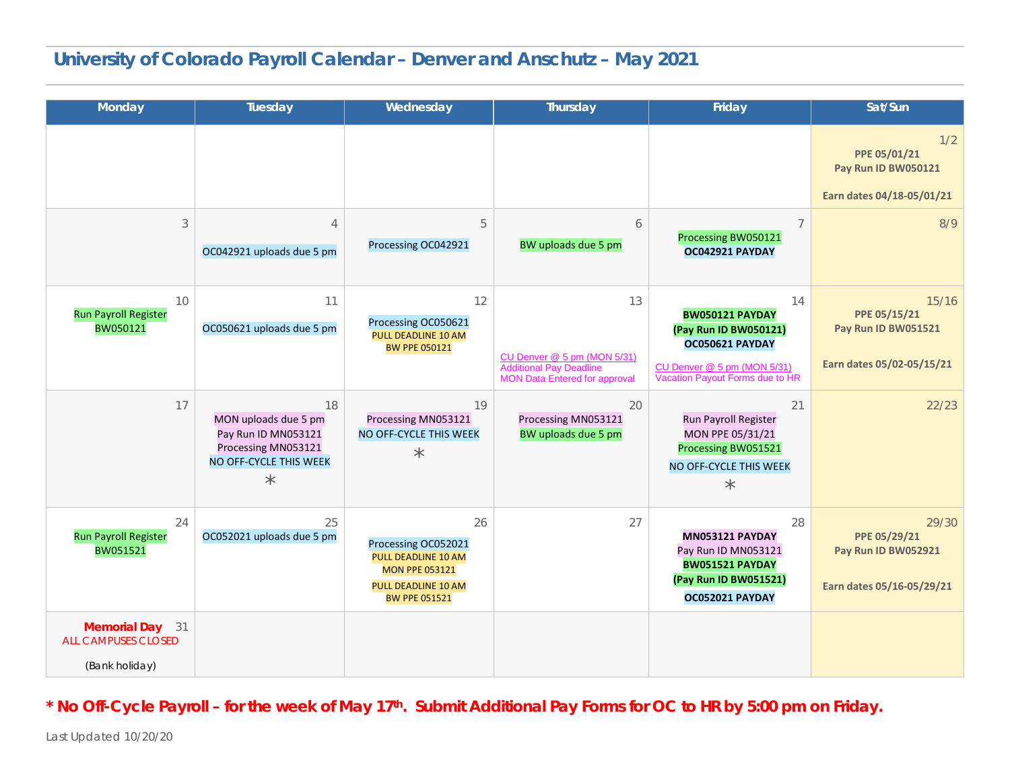## **University of Colorado Payroll Calendar – Denver and Anschutz – May 2021**

| <b>Monday</b>                                                   | Tuesday                                                                                                       | Wednesday                                                                                                                | <b>Thursday</b>                                                                                      | Friday                                                                                                                                     | Sat/Sun                                                                   |
|-----------------------------------------------------------------|---------------------------------------------------------------------------------------------------------------|--------------------------------------------------------------------------------------------------------------------------|------------------------------------------------------------------------------------------------------|--------------------------------------------------------------------------------------------------------------------------------------------|---------------------------------------------------------------------------|
|                                                                 |                                                                                                               |                                                                                                                          |                                                                                                      |                                                                                                                                            | 1/2<br>PPE 05/01/21<br>Pay Run ID BW050121<br>Earn dates 04/18-05/01/21   |
| 3                                                               | $\overline{4}$<br>OC042921 uploads due 5 pm                                                                   | 5<br>Processing OC042921                                                                                                 | 6<br>BW uploads due 5 pm                                                                             | $\overline{7}$<br>Processing BW050121<br>OC042921 PAYDAY                                                                                   | 8/9                                                                       |
| 10<br><b>Run Payroll Register</b><br>BW050121                   | 11<br>OC050621 uploads due 5 pm                                                                               | 12<br>Processing OC050621<br>PULL DEADLINE 10 AM<br><b>BW PPE 050121</b>                                                 | 13<br>CU Denver @ 5 pm (MON 5/31)<br>Additional Pay Deadline<br><b>MON Data Entered for approval</b> | 14<br><b>BW050121 PAYDAY</b><br>(Pay Run ID BW050121)<br>OC050621 PAYDAY<br>CU Denver @ 5 pm (MON 5/31)<br>Vacation Payout Forms due to HR | 15/16<br>PPE 05/15/21<br>Pay Run ID BW051521<br>Earn dates 05/02-05/15/21 |
| 17                                                              | 18<br>MON uploads due 5 pm<br>Pay Run ID MN053121<br>Processing MN053121<br>NO OFF-CYCLE THIS WEEK<br>$\star$ | 19<br>Processing MN053121<br>NO OFF-CYCLE THIS WEEK<br>$\star$                                                           | 20<br>Processing MN053121<br>BW uploads due 5 pm                                                     | 21<br>Run Payroll Register<br>MON PPE 05/31/21<br>Processing BW051521<br>NO OFF-CYCLE THIS WEEK<br>$\star$                                 | 22/23                                                                     |
| 24<br><b>Run Payroll Register</b><br>BW051521                   | 25<br>OC052021 uploads due 5 pm                                                                               | 26<br>Processing OC052021<br>PULL DEADLINE 10 AM<br><b>MON PPE 053121</b><br>PULL DEADLINE 10 AM<br><b>BW PPE 051521</b> | 27                                                                                                   | 28<br>MN053121 PAYDAY<br>Pay Run ID MN053121<br><b>BW051521 PAYDAY</b><br>(Pay Run ID BW051521)<br>OC052021 PAYDAY                         | 29/30<br>PPE 05/29/21<br>Pay Run ID BW052921<br>Earn dates 05/16-05/29/21 |
| Memorial Day 31<br><b>ALL CAMPUSES CLOSED</b><br>(Bank holiday) |                                                                                                               |                                                                                                                          |                                                                                                      |                                                                                                                                            |                                                                           |

#### **\* No Off-Cycle Payroll – for the week of May 17th. Submit Additional Pay Forms for OC to HR by 5:00 pm on Friday.**

Last Updated 10/20/20